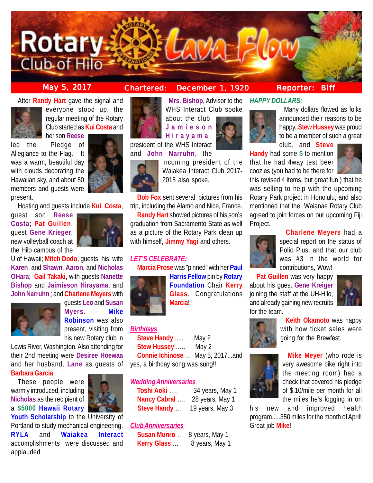

**May 5, 2017 Chartered: December 1, 1920**

<mark>ber 25, 2015 - 2015 - 2015 - 2015 - 2015 - 2015 - 2015 - 2015 - 2015 - 2015 - 2015 - 2015 - 2015 - 2015 - 2015 -<br>Bernard Carlos Carlos - 2015 - 2015 - 2015 - 2015 - 2015 - 2015 - 2015 - 2015 - 2015 - 2015 - 2015 - 2015 - </mark> After **Randy Hart** gave the signal and



everyone stood up, the regular meeting of the Rotary Club started as **Kui Costa** and her son **Reese**

led the Pledge of Allegiance to the Flag. It was a warm, beautiful day with clouds decorating the Hawaiian sky, and about 80 members and guests were present.

Hosting and guests include **Kui Costa**,

guest son **Reese Costa**; **Pat Guillen**, guest **Gene Krieger**, new volleyball coach at the Hilo campus of the



U of Hawaii; **Mitch Dodo**, guests his wife **Karen** and **Shawn**, **Aaron**, and **Nicholas OHara**; **Gail Takaki**, with guests **Nanette Bishop** and **Jaimieson Hirayama**, and **John Narruhn** ; and **Charlene Meyers** with



guests **Leo** and **Susan Myers**. **Mike Robinson** was also present, visiting from his new Rotary club in

Lewis River, Washington. Also attending for their 2nd meeting were **Desiree Hoewaa** and her husband, **Lane** as guests of

**Barbara Garcia**.

These people were warmly introduced, including **Nicholas** as the recipient of a **\$5000 Hawaii Rotary**



**Youth Scholarship** to the University of Portland to study mechanical engineering. **RYLA** and **Waiakea Interact** accomplishments were discussed and applauded



 **Mrs. Bishop**, Advisor to the WHS Interact Club spoke about the club.

**Jamieson Hirayama** ,

president of the WHS Interact and **John Narruhn**, the



incoming president of the Waiakea Interact Club 2017- 2018 also spoke.

**Bob Fox** sent several pictures from his trip, including the Alamo and Nice, France.

**Randy Hart** showed pictures of his son's graduation from Sacramento State as well as a picture of the Rotary Park clean up with himself, **Jimmy Yagi** and others.

# *LET'S CELEBRATE:*

**Marcia Prose** was "pinned" with her **Paul**



**Harris Fellow** pin by **Rotary Foundation** Chair **Kerry Glass**. Congratulations **Marcia**!

# *Birthdays*

**Steve Handy** ..... May 2 **Stew Hussey** ….. May 2 **Connie Ichinose** … May 5, 2017...and yes, a birthday song was sung!!

#### *Wedding Anniversaries*

| Toshi Aoki   | 34 years, May 1 |
|--------------|-----------------|
| Nancy Cabral | 28 years, May 1 |
| Steve Handy  | 19 years, May 3 |

# *Club Anniversaries*

**Susan Munro** … 8 years, May 1 **Kerry Glass** ... 8 years, May 1

# **Reporter: Biff**

# *HAPPY DOLLARS:*



 Many dollars flowed as folks announced their reasons to be happy..**Stew Hussey** was proud to be a member of such a great club, and **Steve**

**Handy** had some **\$** to mention that he had 4way test beer coozies (you had to be there for



this revised 4 items, but great fun ) that he was selling to help with the upcoming Rotary Park project in Honolulu, and also mentioned that the Waianae Rotary Club agreed to join forces on our upcoming Fiji Project.

# **Charlene Meyers** had a



special report on the status of Polio Plus, and that our club was #3 in the world for contributions, Wow!

**Pat Guillen** was very happy about his guest **Gene Kreiger** joining the staff at the UH-Hilo, and already gaining new recruits for the team.





 **Keith Okamoto** was happy with how ticket sales were going for the Brewfest.



 **Mike Meyer** (who rode is very awesome bike right into the meeting room) had a check that covered his pledge of \$.10/mile per month for all the miles he's logging in on

his new and improved health program.....350 miles for the month of April! Great job **Mike**!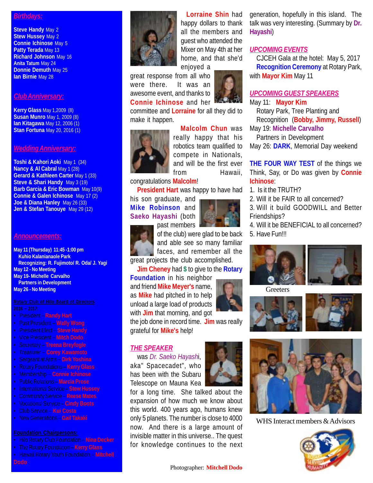### *Birthdays:*

**Steve Handy May 2 Stew Hussey** May 2 **Connie Ichinose** May 5 **Patty Terada** May 13 **Richard Johnson** May 16 **Anita Tatum** May 24 **Donnie Demuth** May 25 **Ian Birnie** May 28

### *Club Anniversary:*

**Kerry Glass** May 1,2009 (8) **Susan Munro** May 1, 2009 (8) **Ian Kitagawa** May 12, 2006 (1) **Stan Fortuna** May 20, 2016 (1)

#### *Wedding Anniversary:*

**Toshi & Kahori Aoki** May 1 (34) **Nancy & Al Cabral May 1 (28) Gerard & Kathleen Carter May 1 (33) Steve & Shari Handy** May 3 (19) **Barb Garcia & Eric Bowman** May 10(9) **Connie & Galen Ichinose** May 17 (2) **Joe & Diana Hanley** May 26 (33) **Jen & Stefan Tanouye** May 29 (12)

#### *Announcements:*

**May 11 (Thursday) 11:45 -1:00 pm Kuhio Kalanianaole Park Recognizing: R. Fujimoto/ R. Oda/ J. Yagi May 12 - No Meeting May 19- Michelle Carvalho Partners in Development May 26 - No Meeting**

- President **Randy Hart**
- Past President **Wally Wong**
- President Elect **Steve Handy**
- Vice President **Mitch Dodo**
- Secretary **Treena Breyfogle**
- Treasurer **Corey Kawamoto**
- Sergeant at Arms **Dirk Yoshina**
- Rotary Foundations **Kerry Glass**
- Membership **Connie Ichinose**
- Public Relations **Marcia Prose**
- International Service **Stew Hussey**
- Community Service **Reese Mates**
- Vocational Service **Cindy Boots**
- Club Service **Kui Costa**
- New Generations **Gail Takaki**

- Hilo Rotary Club Foundation **Nina Decker**
- The Rotary Foundation **Kerry Glass**
- Hawaii Rotary Youth Foundation **Mitchell**



enjoyed a great response from all who were there. It was an awesome event, and thanks to **Connie Ichinose** and her

committee and **Lorraine** for all they did to make it happen.

 **Malcolm Chun** was



really happy that his robotics team qualified to compete in Nationals, and will be the first ever from Hawaii,

congratulations **Malcolm**!

**President Hart** was happy to have had

his son graduate, and **Mike Robinson** and **Saeko Hayashi** (both



past members of the club) were glad to be back and able see so many familiar faces, and remember all the

great projects the club accomplished. **Jim Cheney** had **\$** to give to the **Rotary**

**Foundation** in his neighbor and friend **Mike Meyer's** name, as **Mike** had pitched in to help unload a large load of products with **Jim** that morning, and got

the job done in record time. **Jim** was really grateful for **Mike's** help!

#### *THE SPEAKER*

was *Dr. Saeko Hayash*i, aka" Spacecadet", who has been with the Subaru Telescope on Mauna Kea

for a long time. She talked about the expansion of how much we know about this world. 400 years ago, humans knew only 5 planets. The number is close to 4000 now. And there is a large amount of invisible matter in this universe.. The quest for knowledge continues to the next



### *UPCOMING EVENTS*

CJCEH Gala at the hotel: May 5, 2017 **Recognition Ceremony** at Rotary Park, with **Mayor Kim** May 11

# *UPCOMING GUEST SPEAKERS*

May 11: **Mayor Kim**

Rotary Park, Tree Planting and Recognition (**Bobby, Jimmy, Russell**)

May 19: **Michelle Carvalho**

Partners in Development May 26: **DARK**, Memorial Day weekend

**THE FOUR WAY TEST** of the things we Think, Say, or Do was given by **Connie Ichinose**:

- 1. Is it the TRUTH?
- 2. Will it be FAIR to all concerned?
- 3. Will it build GOODWILL and Better Friendships?

4. Will it be BENEFICIAL to all concerned? 5. Have Fun!!!



**Greeters** 





WHS Interact members & Advisors